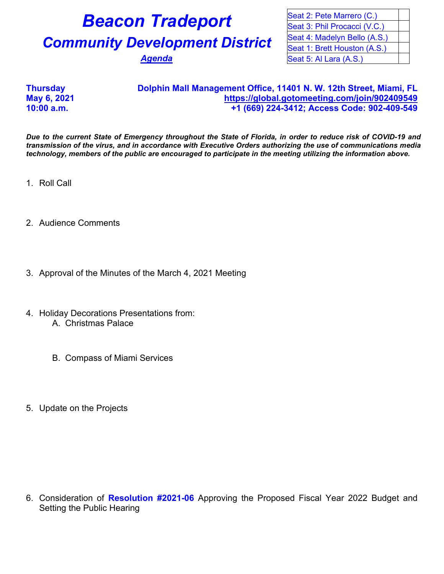## **Beacon Tradeport Community Development District**

Agenda

| Seat 2: Pete Marrero (C.)    |  |
|------------------------------|--|
| Seat 3: Phil Procacci (V.C.) |  |
| Seat 4: Madelyn Bello (A.S.) |  |
| Seat 1: Brett Houston (A.S.) |  |
| Seat 5: Al Lara (A.S.)       |  |

## **Thursday Dolphin Mall Management Office, 11401 N. W. 12th Street, Miami, FL May 6, 2021 <https://global.gotomeeting.com/join/902409549> 10:00 a.m. +1 (669) 224-3412; Access Code: 902-409-549**

*Due to the current State of Emergency throughout the State of Florida, in order to reduce risk of COVID-19 and transmission of the virus, and in accordance with Executive Orders authorizing the use of communications media technology, members of the public are encouraged to participate in the meeting utilizing the information above.*

1. Roll Call

- 2. Audience Comments
- 3. Approval of the Minutes of the March 4, 2021 Meeting
- 4. Holiday Decorations Presentations from: A. Christmas Palace
	- B. Compass of Miami Services
- 5. Update on the Projects

6. Consideration of **Resolution #2021-06** Approving the Proposed Fiscal Year 2022 Budget and Setting the Public Hearing